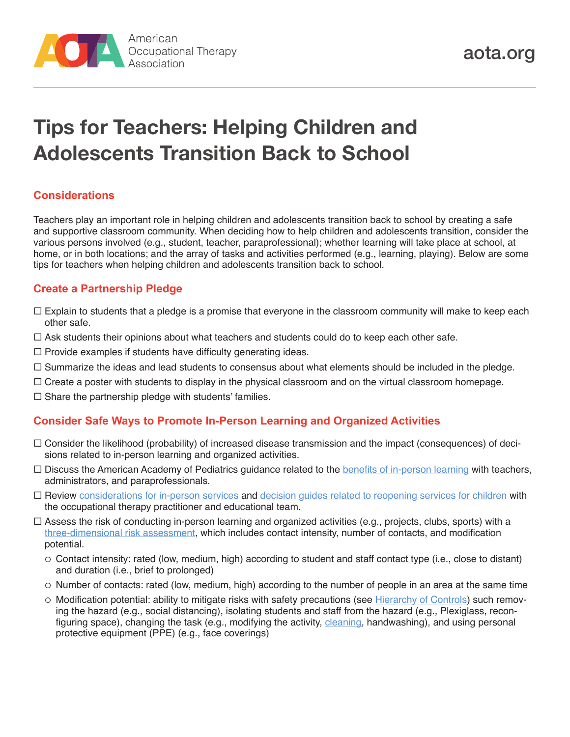

# **Tips for Teachers: Helping Children and Adolescents Transition Back to School**

## **Considerations**

Teachers play an important role in helping children and adolescents transition back to school by creating a safe and supportive classroom community. When deciding how to help children and adolescents transition, consider the various persons involved (e.g., student, teacher, paraprofessional); whether learning will take place at school, at home, or in both locations; and the array of tasks and activities performed (e.g., learning, playing). Below are some tips for teachers when helping children and adolescents transition back to school.

#### **Create a Partnership Pledge**

- $\Box$  Explain to students that a pledge is a promise that everyone in the classroom community will make to keep each other safe.
- $\Box$  Ask students their opinions about what teachers and students could do to keep each other safe.
- $\Box$  Provide examples if students have difficulty generating ideas.
- $\Box$  Summarize the ideas and lead students to consensus about what elements should be included in the pledge.
- $\Box$  Create a poster with students to display in the physical classroom and on the virtual classroom homepage.
- $\square$  Share the partnership pledge with students' families.

#### **Consider Safe Ways to Promote In-Person Learning and Organized Activities**

- $\Box$  Consider the likelihood (probability) of increased disease transmission and the impact (consequences) of decisions related to in-person learning and organized activities.
- $\Box$  Discuss the American Academy of Pediatrics guidance related to the [benefits of in-person learning](https://services.aap.org/en/pages/2019-novel-coronavirus-covid-19-infections/clinical-guidance/covid-19-planning-considerations-return-to-in-person-education-in-schools/) with teachers, administrators, and paraprofessionals.
- Review [considerations for in-person services](https://www.aota.org/~/media/Corporate/Files/Practice/Health/COVID-Decision-Guide-School-Based-Early-Intervention.pdf) and [decision guides related to reopening services for children](https://www.aota.org/~/media/Corporate/Files/Practice/Health/Decision-Guide-Phased-Reopening-COVID19-Pandemic.pdf) with the occupational therapy practitioner and educational team.
- $\Box$  Assess the risk of conducting in-person learning and organized activities (e.g., projects, clubs, sports) with a [three-dimensional risk assessment](https://www.centerforhealthsecurity.org/our-work/pubs_archive/pubs-pdfs/2020/200417-reopening-guidance-governors.pdf), which includes contact intensity, number of contacts, and modification potential.
	- $\circ$  Contact intensity: rated (low, medium, high) according to student and staff contact type (i.e., close to distant) and duration (i.e., brief to prolonged)
	- $\circ$  Number of contacts: rated (low, medium, high) according to the number of people in an area at the same time
	- $\circ$  Modification potential: ability to mitigate risks with safety precautions (see [Hierarchy of Controls\)](https://www.cdc.gov/niosh/topics/hierarchy/default.html) such removing the hazard (e.g., social distancing), isolating students and staff from the hazard (e.g., Plexiglass, reconfiguring space), changing the task (e.g., modifying the activity, [cleaning](https://www.cdc.gov/coronavirus/2019-ncov/community/reopen-guidance.html), handwashing), and using personal protective equipment (PPE) (e.g., face coverings)